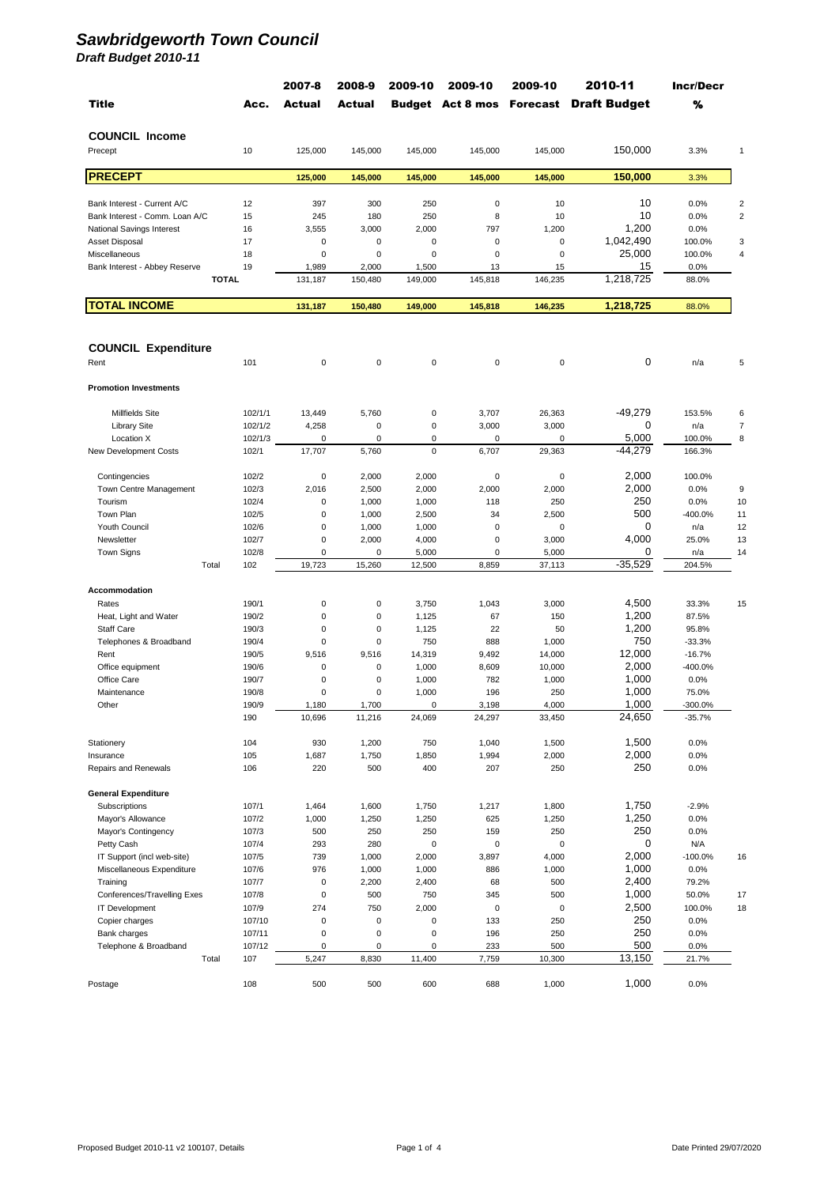|                                         |                | 2007-8         | 2008-9               | 2009-10           | 2009-10                          | 2009-10         | 2010-11             | Incr/Decr          |                         |
|-----------------------------------------|----------------|----------------|----------------------|-------------------|----------------------------------|-----------------|---------------------|--------------------|-------------------------|
| <b>Title</b>                            | Acc.           | Actual         | Actual               |                   | <b>Budget Act 8 mos Forecast</b> |                 | <b>Draft Budget</b> | %                  |                         |
| <b>COUNCIL Income</b>                   |                |                |                      |                   |                                  |                 |                     |                    |                         |
| Precept                                 | 10             | 125,000        | 145,000              | 145,000           | 145,000                          | 145,000         | 150,000             | 3.3%               | $\mathbf{1}$            |
| <b>PRECEPT</b>                          |                | 125,000        | 145,000              | 145,000           | 145,000                          | 145,000         | 150,000             | 3.3%               |                         |
| Bank Interest - Current A/C             | 12             | 397            | 300                  | 250               | $\bf 0$                          | 10              | 10                  | 0.0%               | $\overline{\mathbf{c}}$ |
| Bank Interest - Comm. Loan A/C          | 15             | 245            | 180                  | 250               | 8                                | 10              | 10                  | 0.0%               | $\overline{2}$          |
| National Savings Interest               | 16             | 3,555          | 3,000                | 2,000             | 797                              | 1,200           | 1,200               | 0.0%               |                         |
| Asset Disposal                          | 17             | 0              | $\bf 0$              | $\pmb{0}$         | $\mathbf 0$                      | $\mathbf 0$     | 1,042,490           | 100.0%             | 3                       |
| Miscellaneous                           | 18             | 0              | $\mathbf 0$          | 0                 | $\mathbf 0$                      | $\mathbf 0$     | 25,000              | 100.0%             | 4                       |
| Bank Interest - Abbey Reserve           | 19             | 1,989          | 2,000                | 1,500             | 13                               | 15              | 15                  | 0.0%               |                         |
| <b>TOTAL</b>                            |                | 131,187        | 150,480              | 149,000           | 145,818                          | 146,235         | 1,218,725           | 88.0%              |                         |
| <b>TOTAL INCOME</b>                     |                | 131,187        | 150,480              | 149,000           | 145,818                          | 146,235         | 1,218,725           | 88.0%              |                         |
|                                         |                |                |                      |                   |                                  |                 |                     |                    |                         |
| <b>COUNCIL Expenditure</b>              |                |                |                      |                   |                                  |                 |                     |                    |                         |
| Rent                                    | 101            | 0              | 0                    | 0                 | 0                                | 0               | 0                   | n/a                | 5                       |
| <b>Promotion Investments</b>            |                |                |                      |                   |                                  |                 |                     |                    |                         |
| <b>Millfields Site</b>                  | 102/1/1        | 13,449         | 5,760                | 0                 | 3,707                            | 26,363          | -49,279             | 153.5%             | 6                       |
| <b>Library Site</b>                     | 102/1/2        | 4,258          | $\mathbf 0$          | 0                 | 3,000                            | 3,000           | 0                   | n/a                | $\overline{7}$          |
| Location X                              | 102/1/3        | 0              | $\mathbf 0$          | 0                 | $\mathbf 0$                      | 0               | 5,000               | 100.0%             | 8                       |
| New Development Costs                   | 102/1          | 17,707         | 5,760                | 0                 | 6,707                            | 29,363          | -44,279             | 166.3%             |                         |
| Contingencies                           | 102/2          | 0              | 2,000                | 2,000             | $\mathbf 0$                      | $\mathbf 0$     | 2.000               | 100.0%             |                         |
| Town Centre Management                  | 102/3          | 2,016          | 2,500                | 2,000             | 2,000                            | 2,000           | 2,000               | 0.0%               | 9                       |
| Tourism                                 | 102/4          | 0              | 1,000                | 1,000             | 118                              | 250             | 250                 | 0.0%               | 10                      |
| <b>Town Plan</b>                        | 102/5          | 0              | 1,000                | 2,500             | 34                               | 2,500           | 500                 | -400.0%            | 11                      |
| Youth Council                           | 102/6          | 0              | 1,000                | 1,000             | $\mathbf 0$                      | 0               | 0                   | n/a                | 12                      |
| Newsletter                              | 102/7          | 0              | 2,000                | 4,000             | 0                                | 3,000           | 4,000               | 25.0%              | 13                      |
| Town Signs<br>Total                     | 102/8<br>102   | 0<br>19,723    | 0<br>15,260          | 5,000<br>12,500   | 0<br>8,859                       | 5,000<br>37,113 | 0<br>$-35,529$      | n/a<br>204.5%      | 14                      |
|                                         |                |                |                      |                   |                                  |                 |                     |                    |                         |
| Accommodation<br>Rates                  | 190/1          | 0              | $\pmb{0}$            | 3,750             | 1,043                            | 3,000           | 4,500               | 33.3%              | 15                      |
| Heat, Light and Water                   | 190/2          | 0              | $\mathbf 0$          | 1,125             | 67                               | 150             | 1,200               | 87.5%              |                         |
| <b>Staff Care</b>                       | 190/3          | 0              | $\mathbf 0$          | 1,125             | 22                               | 50              | 1,200               | 95.8%              |                         |
| Telephones & Broadband                  | 190/4          | 0              | $\mathbf 0$          | 750               | 888                              | 1,000           | 750                 | $-33.3%$           |                         |
| Rent                                    | 190/5          | 9,516          | 9,516                | 14,319            | 9,492                            | 14,000          | 12,000              | $-16.7%$           |                         |
| Office equipment                        | 190/6          | 0              | 0                    | 1,000             | 8,609                            | 10,000          | 2,000               | -400.0%            |                         |
| Office Care                             | 190/7          | 0              | $\mathbf 0$          | 1,000             | 782                              | 1,000           | 1,000               | 0.0%               |                         |
| Maintenance                             | 190/8<br>190/9 | 0<br>1.180     | $\mathbf 0$<br>1 700 | 1,000<br>$\Omega$ | 196<br>3 198                     | 250<br>4.000    | 1,000<br>1.000      | 75.0%<br>$-300.0%$ |                         |
| Other                                   | 190            | 10,696         | 11,216               | 24,069            | 24,297                           | 33,450          | 24,650              | $-35.7%$           |                         |
|                                         |                |                |                      |                   |                                  |                 |                     |                    |                         |
| Stationery                              | 104            | 930            | 1,200                | 750               | 1,040                            | 1,500           | 1,500               | 0.0%               |                         |
| Insurance<br>Repairs and Renewals       | 105<br>106     | 1,687<br>220   | 1,750<br>500         | 1,850<br>400      | 1,994<br>207                     | 2,000<br>250    | 2,000<br>250        | 0.0%<br>0.0%       |                         |
| <b>General Expenditure</b>              |                |                |                      |                   |                                  |                 |                     |                    |                         |
| Subscriptions                           | 107/1          | 1,464          | 1,600                | 1,750             | 1,217                            | 1,800           | 1,750               | $-2.9%$            |                         |
| Mayor's Allowance                       | 107/2          | 1,000          | 1,250                | 1,250             | 625                              | 1,250           | 1,250               | 0.0%               |                         |
| Mayor's Contingency                     | 107/3          | 500            | 250                  | 250               | 159                              | 250             | 250                 | 0.0%               |                         |
| Petty Cash                              | 107/4          | 293            | 280                  | 0                 | $\pmb{0}$                        | $\mathbf 0$     | 0                   | N/A                |                         |
| IT Support (incl web-site)              | 107/5          | 739            | 1,000                | 2,000             | 3,897                            | 4,000           | 2,000               | $-100.0%$          | 16                      |
| Miscellaneous Expenditure               | 107/6          | 976            | 1,000                | 1,000             | 886                              | 1,000           | 1,000<br>2,400      | 0.0%               |                         |
| Training<br>Conferences/Travelling Exes | 107/7<br>107/8 | 0<br>$\pmb{0}$ | 2,200<br>500         | 2,400<br>750      | 68<br>345                        | 500<br>500      | 1,000               | 79.2%<br>50.0%     | 17                      |
| <b>IT Development</b>                   | 107/9          | 274            | 750                  | 2,000             | $\pmb{0}$                        | 0               | 2,500               | 100.0%             | 18                      |
| Copier charges                          | 107/10         | 0              | $\pmb{0}$            | 0                 | 133                              | 250             | 250                 | 0.0%               |                         |
| Bank charges                            | 107/11         | 0              | $\pmb{0}$            | 0                 | 196                              | 250             | 250                 | 0.0%               |                         |
| Telephone & Broadband                   | 107/12         | 0              | $\mathbf 0$          | 0                 | 233                              | 500             | 500                 | 0.0%               |                         |
| Total                                   | 107            | 5,247          | 8,830                | 11,400            | 7,759                            | 10,300          | 13,150              | 21.7%              |                         |
| Postage                                 | 108            | 500            | 500                  | 600               | 688                              | 1,000           | 1,000               | 0.0%               |                         |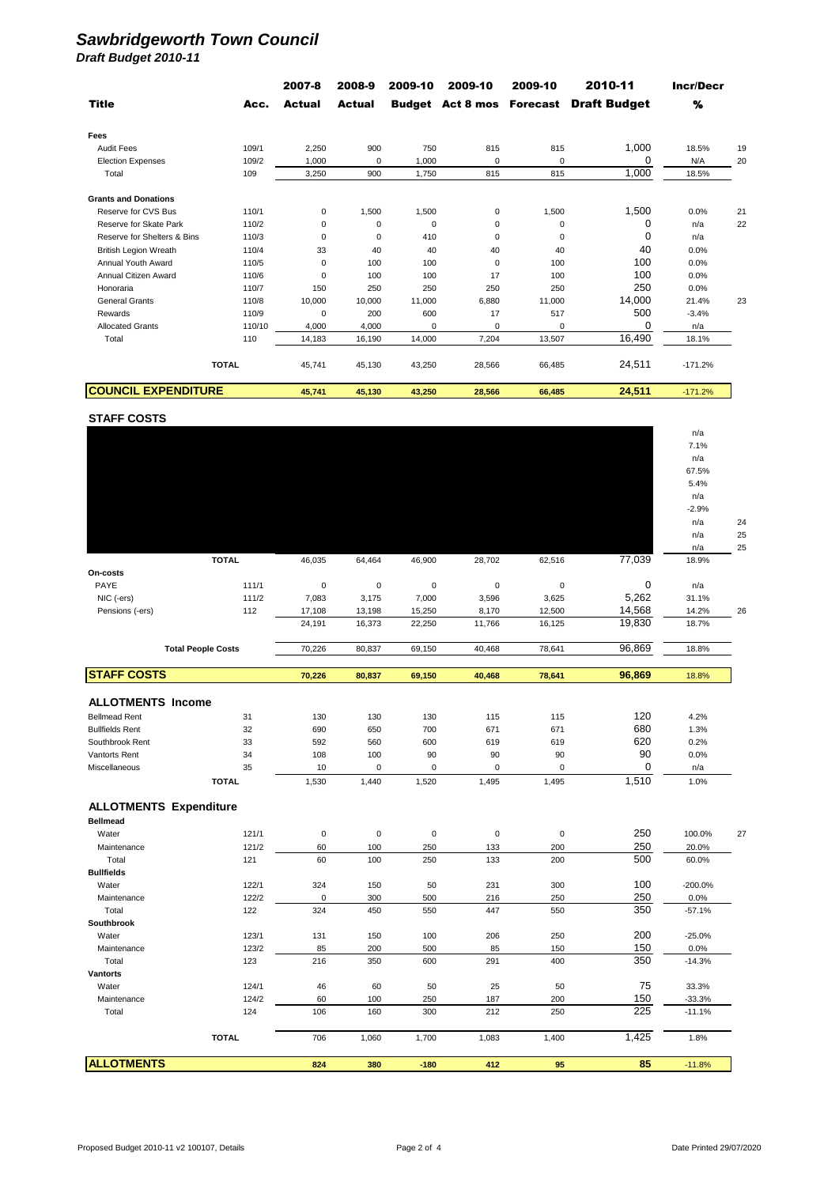|                                   |                | 2007-8           | 2008-9     | 2009-10     | 2009-10     | 2009-10     | 2010-11                                       | <b>Incr/Decr</b> |    |
|-----------------------------------|----------------|------------------|------------|-------------|-------------|-------------|-----------------------------------------------|------------------|----|
| <b>Title</b>                      | Acc.           | Actual           | Actual     |             |             |             | <b>Budget Act 8 mos Forecast Draft Budget</b> | %                |    |
| Fees                              |                |                  |            |             |             |             |                                               |                  |    |
| <b>Audit Fees</b>                 | 109/1          | 2,250            | 900        | 750         | 815         | 815         | 1,000                                         | 18.5%            | 19 |
| <b>Election Expenses</b>          | 109/2          | 1,000            | 0          | 1,000       | 0           | $\mathbf 0$ | 0                                             | N/A              | 20 |
| Total                             | 109            | 3,250            | 900        | 1,750       | 815         | 815         | 1,000                                         | 18.5%            |    |
| <b>Grants and Donations</b>       |                |                  |            |             |             |             |                                               |                  |    |
| Reserve for CVS Bus               | 110/1          | 0                | 1,500      | 1,500       | $\pmb{0}$   | 1,500       | 1,500                                         | 0.0%             | 21 |
| Reserve for Skate Park            | 110/2          | $\pmb{0}$        | 0          | $\mathsf 0$ | $\mathbf 0$ | $\bf 0$     | 0                                             | n/a              | 22 |
| Reserve for Shelters & Bins       | 110/3          | $\pmb{0}$        | $\pmb{0}$  | 410         | $\bf 0$     | 0           | $\mathbf 0$                                   | n/a              |    |
| <b>British Legion Wreath</b>      | 110/4          | 33               | 40         | 40          | 40          | 40          | 40                                            | 0.0%             |    |
| Annual Youth Award                | 110/5          | 0                | 100        | 100         | 0           | 100         | 100                                           | 0.0%             |    |
| Annual Citizen Award<br>Honoraria | 110/6<br>110/7 | $\pmb{0}$<br>150 | 100<br>250 | 100<br>250  | 17<br>250   | 100<br>250  | 100<br>250                                    | 0.0%<br>0.0%     |    |
| <b>General Grants</b>             | 110/8          | 10,000           | 10,000     | 11,000      | 6,880       | 11,000      | 14,000                                        | 21.4%            | 23 |
| Rewards                           | 110/9          | 0                | 200        | 600         | 17          | 517         | 500                                           | $-3.4%$          |    |
| <b>Allocated Grants</b>           | 110/10         | 4,000            | 4,000      | 0           | 0           | 0           | 0                                             | n/a              |    |
| Total                             | 110            | 14,183           | 16,190     | 14,000      | 7,204       | 13,507      | 16,490                                        | 18.1%            |    |
|                                   | <b>TOTAL</b>   | 45,741           | 45,130     | 43,250      | 28,566      | 66,485      | 24,511                                        | $-171.2%$        |    |
| <b>COUNCIL EXPENDITURE</b>        |                | 45,741           | 45,130     | 43,250      | 28,566      | 66,485      | 24,511                                        | $-171.2%$        |    |
| <b>STAFF COSTS</b>                |                |                  |            |             |             |             |                                               |                  |    |
|                                   |                |                  |            |             |             |             |                                               | n/a              |    |
|                                   |                |                  |            |             |             |             |                                               | 7.1%             |    |
|                                   |                |                  |            |             |             |             |                                               | n/a              |    |
|                                   |                |                  |            |             |             |             |                                               | 67.5%            |    |
|                                   |                |                  |            |             |             |             |                                               | 5.4%             |    |
|                                   |                |                  |            |             |             |             |                                               | n/a<br>$-2.9%$   |    |
|                                   |                |                  |            |             |             |             |                                               | n/a              | 24 |
|                                   |                |                  |            |             |             |             |                                               | n/a              | 25 |
|                                   |                |                  |            |             |             |             |                                               | n/a              | 25 |
| On-costs                          | <b>TOTAL</b>   | 46,035           | 64,464     | 46,900      | 28,702      | 62,516      | 77,039                                        | 18.9%            |    |
| PAYE                              | 111/1          | $\pmb{0}$        | 0          | $\mathsf 0$ | $\pmb{0}$   | $\bf 0$     | 0                                             | n/a              |    |
| NIC (-ers)                        | 111/2          | 7,083            | 3,175      | 7,000       | 3,596       | 3,625       | 5,262                                         | 31.1%            |    |
| Pensions (-ers)                   | 112            | 17,108           | 13,198     | 15,250      | 8,170       | 12,500      | 14,568                                        | 14.2%            | 26 |
|                                   |                | 24,191           | 16,373     | 22,250      | 11,766      | 16,125      | 19,830                                        | 18.7%            |    |
| <b>Total People Costs</b>         |                | 70,226           | 80,837     | 69,150      | 40,468      | 78,641      | 96,869                                        | 18.8%            |    |
| <b>STAFF COSTS</b>                |                | 70,226           | 80,837     | 69,150      | 40,468      | 78,641      | 96,869                                        | 18.8%            |    |
| <b>ALLOTMENTS Income</b>          |                |                  |            |             |             |             |                                               |                  |    |
| <b>Bellmead Rent</b>              | 31             | 130              | 130        | 130         | 115         | 115         | 120                                           | 4.2%             |    |
| <b>Bullfields Rent</b>            | 32             | 690              | 650        | 700         | 671         | 671         | 680                                           | 1.3%             |    |
| Southbrook Rent                   | 33             | 592              | 560        | 600         | 619         | 619         | 620                                           | 0.2%             |    |
| Vantorts Rent                     | 34             | 108              | 100        | 90          | 90          | 90          | 90                                            | 0.0%             |    |
| Miscellaneous                     | 35             | 10               | $\pmb{0}$  | $\pmb{0}$   | $\pmb{0}$   | $\pmb{0}$   | 0                                             | n/a              |    |
|                                   | <b>TOTAL</b>   | 1,530            | 1,440      | 1,520       | 1,495       | 1,495       | 1,510                                         | 1.0%             |    |
| <b>ALLOTMENTS Expenditure</b>     |                |                  |            |             |             |             |                                               |                  |    |
| <b>Bellmead</b><br>Water          | 121/1          | $\pmb{0}$        | $\pmb{0}$  | 0           | $\pmb{0}$   | $\pmb{0}$   | 250                                           | 100.0%           | 27 |
| Maintenance                       | 121/2          | 60               | 100        | 250         | 133         | 200         | 250                                           | 20.0%            |    |
| Total                             | 121            | 60               | 100        | 250         | 133         | 200         | 500                                           | 60.0%            |    |
| <b>Bullfields</b>                 |                |                  |            |             |             |             |                                               |                  |    |
| Water                             | 122/1          | 324              | 150        | 50          | 231         | 300         | 100                                           | $-200.0%$        |    |
| Maintenance                       | 122/2          | $\pmb{0}$        | 300        | 500         | 216         | 250         | 250                                           | 0.0%             |    |
| Total                             | 122            | 324              | 450        | 550         | 447         | 550         | 350                                           | $-57.1%$         |    |
| Southbrook<br>Water               | 123/1          | 131              | 150        | 100         | 206         | 250         | 200                                           | $-25.0%$         |    |
| Maintenance                       | 123/2          | 85               | 200        | 500         | 85          | 150         | 150                                           | 0.0%             |    |
| Total                             | 123            | 216              | 350        | 600         | 291         | 400         | 350                                           | $-14.3%$         |    |
| Vantorts                          |                |                  |            |             |             |             |                                               |                  |    |
| Water                             | 124/1          | 46               | 60         | 50          | 25          | 50          | 75                                            | 33.3%            |    |
| Maintenance                       | 124/2          | 60               | 100        | 250         | 187         | 200         | 150                                           | $-33.3%$         |    |
| Total                             | 124            | 106              | 160        | 300         | 212         | 250         | 225                                           | $-11.1%$         |    |
|                                   | <b>TOTAL</b>   | 706              | 1,060      | 1,700       | 1,083       | 1,400       | 1,425                                         | 1.8%             |    |
| <b>ALLOTMENTS</b>                 |                | 824              | 380        | $-180$      | 412         | 95          | 85                                            | $-11.8%$         |    |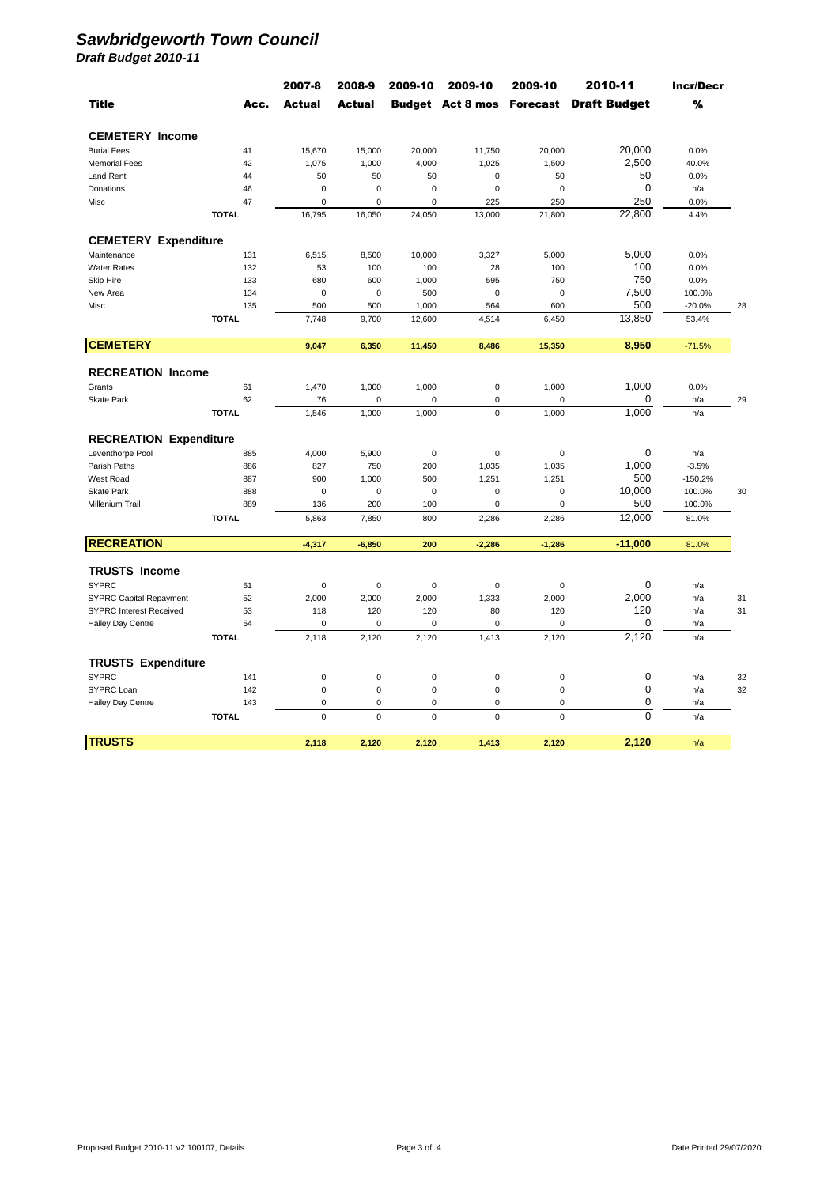|                                |              | 2007-8      | 2008-9      | 2009-10     | 2009-10     | 2009-10     | 2010-11                                       | <b>Incr/Decr</b> |    |
|--------------------------------|--------------|-------------|-------------|-------------|-------------|-------------|-----------------------------------------------|------------------|----|
| <b>Title</b>                   | Acc.         | Actual      | Actual      |             |             |             | <b>Budget Act 8 mos Forecast Draft Budget</b> | %                |    |
| <b>CEMETERY Income</b>         |              |             |             |             |             |             |                                               |                  |    |
| <b>Burial Fees</b>             | 41           | 15,670      | 15,000      | 20,000      | 11,750      | 20,000      | 20,000                                        | 0.0%             |    |
| <b>Memorial Fees</b>           | 42           | 1,075       | 1,000       | 4,000       | 1,025       | 1,500       | 2,500                                         | 40.0%            |    |
| <b>Land Rent</b>               | 44           | 50          | 50          | 50          | $\mathbf 0$ | 50          | 50                                            | 0.0%             |    |
| Donations                      | 46           | 0           | $\mathbf 0$ | $\mathbf 0$ | $\mathbf 0$ | $\mathbf 0$ | 0                                             | n/a              |    |
| Misc                           | 47           | 0           | $\mathbf 0$ | $\mathbf 0$ | 225         | 250         | 250                                           | 0.0%             |    |
|                                | <b>TOTAL</b> | 16,795      | 16,050      | 24,050      | 13,000      | 21,800      | 22,800                                        | 4.4%             |    |
| <b>CEMETERY Expenditure</b>    |              |             |             |             |             |             |                                               |                  |    |
| Maintenance                    | 131          | 6,515       | 8,500       | 10,000      | 3,327       | 5,000       | 5,000                                         | 0.0%             |    |
| <b>Water Rates</b>             | 132          | 53          | 100         | 100         | 28          | 100         | 100                                           | 0.0%             |    |
| <b>Skip Hire</b>               | 133          | 680         | 600         | 1,000       | 595         | 750         | 750                                           | 0.0%             |    |
| New Area                       | 134          | 0           | $\bf 0$     | 500         | $\mathbf 0$ | $\mathbf 0$ | 7,500                                         | 100.0%           |    |
| Misc                           | 135          | 500         | 500         | 1,000       | 564         | 600         | 500                                           | $-20.0%$         | 28 |
|                                | <b>TOTAL</b> | 7,748       | 9,700       | 12,600      | 4,514       | 6,450       | 13,850                                        | 53.4%            |    |
| <b>CEMETERY</b>                |              | 9,047       | 6,350       | 11,450      | 8,486       | 15,350      | 8,950                                         | $-71.5%$         |    |
|                                |              |             |             |             |             |             |                                               |                  |    |
| <b>RECREATION Income</b>       |              |             |             |             |             |             |                                               |                  |    |
| Grants                         | 61           | 1,470       | 1,000       | 1,000       | $\pmb{0}$   | 1,000       | 1,000                                         | 0.0%             |    |
| <b>Skate Park</b>              | 62           | 76          | 0           | $\mathbf 0$ | $\pmb{0}$   | $\mathbf 0$ | 0                                             | n/a              | 29 |
|                                | <b>TOTAL</b> | 1,546       | 1,000       | 1,000       | $\mathbf 0$ | 1,000       | 1,000                                         | n/a              |    |
| <b>RECREATION Expenditure</b>  |              |             |             |             |             |             |                                               |                  |    |
| Leventhorpe Pool               | 885          | 4,000       | 5,900       | $\mathbf 0$ | $\mathbf 0$ | $\mathbf 0$ | $\mathbf 0$                                   | n/a              |    |
| Parish Paths                   | 886          | 827         | 750         | 200         | 1,035       | 1,035       | 1,000                                         | $-3.5%$          |    |
| West Road                      | 887          | 900         | 1,000       | 500         | 1,251       | 1,251       | 500                                           | $-150.2%$        |    |
| <b>Skate Park</b>              | 888          | $\mathbf 0$ | $\mathbf 0$ | $\mathbf 0$ | $\mathbf 0$ | $\Omega$    | 10,000                                        | 100.0%           | 30 |
| Millenium Trail                | 889          | 136         | 200         | 100         | 0           | 0           | 500                                           | 100.0%           |    |
|                                | <b>TOTAL</b> | 5,863       | 7,850       | 800         | 2,286       | 2,286       | 12,000                                        | 81.0%            |    |
| <b>RECREATION</b>              |              | $-4,317$    | $-6,850$    | 200         | $-2,286$    | $-1,286$    | $-11,000$                                     | 81.0%            |    |
| <b>TRUSTS Income</b>           |              |             |             |             |             |             |                                               |                  |    |
| <b>SYPRC</b>                   | 51           | 0           | $\mathbf 0$ | $\mathbf 0$ | $\mathbf 0$ | 0           | $\mathbf 0$                                   | n/a              |    |
| <b>SYPRC Capital Repayment</b> | 52           | 2,000       | 2,000       | 2,000       | 1,333       | 2,000       | 2,000                                         | n/a              | 31 |
| <b>SYPRC Interest Received</b> | 53           | 118         | 120         | 120         | 80          | 120         | 120                                           | n/a              | 31 |
| Hailey Day Centre              | 54           | 0           | $\bf 0$     | $\mathsf 0$ | $\pmb{0}$   | 0           | 0                                             | n/a              |    |
|                                | <b>TOTAL</b> | 2,118       | 2,120       | 2,120       | 1,413       | 2,120       | 2,120                                         | n/a              |    |
|                                |              |             |             |             |             |             |                                               |                  |    |
| <b>TRUSTS Expenditure</b>      |              |             |             |             |             |             |                                               |                  |    |
| <b>SYPRC</b>                   | 141          | $\mathbf 0$ | $\pmb{0}$   | $\pmb{0}$   | $\pmb{0}$   | $\pmb{0}$   | 0                                             | n/a              | 32 |
| SYPRC Loan                     | 142          | $\mathbf 0$ | $\bf 0$     | $\mathsf 0$ | $\bf 0$     | $\mathbf 0$ | $\mathbf 0$                                   | n/a              | 32 |
| Hailey Day Centre              | 143          | 0           | $\mathbf 0$ | 0           | $\mathbf 0$ | 0           | 0                                             | n/a              |    |
|                                | <b>TOTAL</b> | $\mathbf 0$ | $\mathbf 0$ | $\mathbf 0$ | $\mathbf 0$ | $\mathbf 0$ | $\mathbf 0$                                   | n/a              |    |
| <b>TRUSTS</b>                  |              | 2,118       | 2,120       | 2,120       | 1,413       | 2,120       | 2,120                                         | n/a              |    |